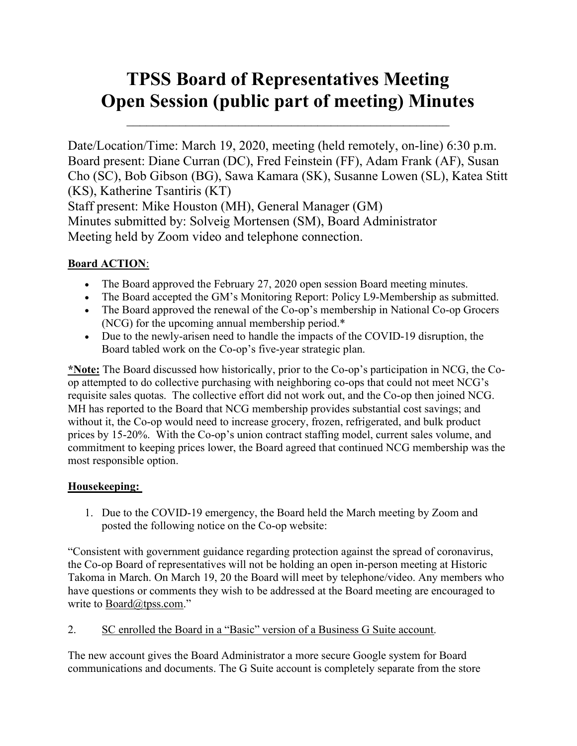# TPSS Board of Representatives Meeting Open Session (public part of meeting) Minutes

Date/Location/Time: March 19, 2020, meeting (held remotely, on-line) 6:30 p.m. Board present: Diane Curran (DC), Fred Feinstein (FF), Adam Frank (AF), Susan Cho (SC), Bob Gibson (BG), Sawa Kamara (SK), Susanne Lowen (SL), Katea Stitt (KS), Katherine Tsantiris (KT) Staff present: Mike Houston (MH), General Manager (GM) Minutes submitted by: Solveig Mortensen (SM), Board Administrator Meeting held by Zoom video and telephone connection.

## Board ACTION:

- The Board approved the February 27, 2020 open session Board meeting minutes.
- The Board accepted the GM's Monitoring Report: Policy L9-Membership as submitted.
- The Board approved the renewal of the Co-op's membership in National Co-op Grocers (NCG) for the upcoming annual membership period.\*
- Due to the newly-arisen need to handle the impacts of the COVID-19 disruption, the Board tabled work on the Co-op's five-year strategic plan.

\*Note: The Board discussed how historically, prior to the Co-op's participation in NCG, the Coop attempted to do collective purchasing with neighboring co-ops that could not meet NCG's requisite sales quotas. The collective effort did not work out, and the Co-op then joined NCG. MH has reported to the Board that NCG membership provides substantial cost savings; and without it, the Co-op would need to increase grocery, frozen, refrigerated, and bulk product prices by 15-20%. With the Co-op's union contract staffing model, current sales volume, and commitment to keeping prices lower, the Board agreed that continued NCG membership was the most responsible option.

#### Housekeeping:

1. Due to the COVID-19 emergency, the Board held the March meeting by Zoom and posted the following notice on the Co-op website:

"Consistent with government guidance regarding protection against the spread of coronavirus, the Co-op Board of representatives will not be holding an open in-person meeting at Historic Takoma in March. On March 19, 20 the Board will meet by telephone/video. Any members who have questions or comments they wish to be addressed at the Board meeting are encouraged to write to Board@tpss.com."

2. SC enrolled the Board in a "Basic" version of a Business G Suite account.

The new account gives the Board Administrator a more secure Google system for Board communications and documents. The G Suite account is completely separate from the store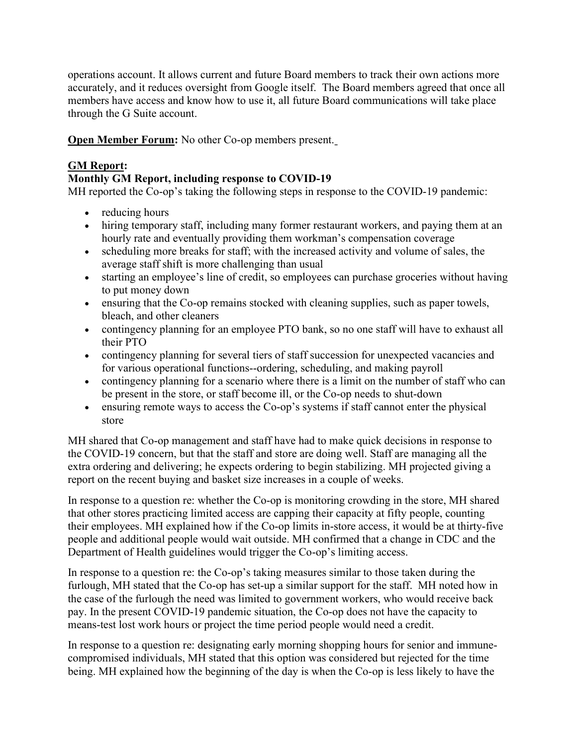operations account. It allows current and future Board members to track their own actions more accurately, and it reduces oversight from Google itself. The Board members agreed that once all members have access and know how to use it, all future Board communications will take place through the G Suite account.

Open Member Forum: No other Co-op members present.

## GM Report:

### Monthly GM Report, including response to COVID-19

MH reported the Co-op's taking the following steps in response to the COVID-19 pandemic:

- reducing hours
- hiring temporary staff, including many former restaurant workers, and paying them at an hourly rate and eventually providing them workman's compensation coverage
- scheduling more breaks for staff; with the increased activity and volume of sales, the average staff shift is more challenging than usual
- starting an employee's line of credit, so employees can purchase groceries without having to put money down
- ensuring that the Co-op remains stocked with cleaning supplies, such as paper towels, bleach, and other cleaners
- contingency planning for an employee PTO bank, so no one staff will have to exhaust all their PTO
- contingency planning for several tiers of staff succession for unexpected vacancies and for various operational functions--ordering, scheduling, and making payroll
- contingency planning for a scenario where there is a limit on the number of staff who can be present in the store, or staff become ill, or the Co-op needs to shut-down
- ensuring remote ways to access the Co-op's systems if staff cannot enter the physical store

MH shared that Co-op management and staff have had to make quick decisions in response to the COVID-19 concern, but that the staff and store are doing well. Staff are managing all the extra ordering and delivering; he expects ordering to begin stabilizing. MH projected giving a report on the recent buying and basket size increases in a couple of weeks.

In response to a question re: whether the Co-op is monitoring crowding in the store, MH shared that other stores practicing limited access are capping their capacity at fifty people, counting their employees. MH explained how if the Co-op limits in-store access, it would be at thirty-five people and additional people would wait outside. MH confirmed that a change in CDC and the Department of Health guidelines would trigger the Co-op's limiting access.

In response to a question re: the Co-op's taking measures similar to those taken during the furlough, MH stated that the Co-op has set-up a similar support for the staff. MH noted how in the case of the furlough the need was limited to government workers, who would receive back pay. In the present COVID-19 pandemic situation, the Co-op does not have the capacity to means-test lost work hours or project the time period people would need a credit.

In response to a question re: designating early morning shopping hours for senior and immunecompromised individuals, MH stated that this option was considered but rejected for the time being. MH explained how the beginning of the day is when the Co-op is less likely to have the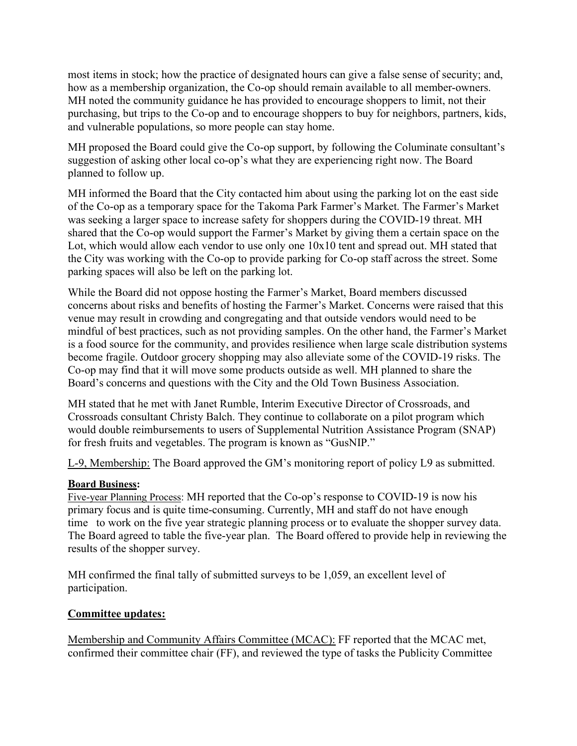most items in stock; how the practice of designated hours can give a false sense of security; and, how as a membership organization, the Co-op should remain available to all member-owners. MH noted the community guidance he has provided to encourage shoppers to limit, not their purchasing, but trips to the Co-op and to encourage shoppers to buy for neighbors, partners, kids, and vulnerable populations, so more people can stay home.

MH proposed the Board could give the Co-op support, by following the Columinate consultant's suggestion of asking other local co-op's what they are experiencing right now. The Board planned to follow up.

MH informed the Board that the City contacted him about using the parking lot on the east side of the Co-op as a temporary space for the Takoma Park Farmer's Market. The Farmer's Market was seeking a larger space to increase safety for shoppers during the COVID-19 threat. MH shared that the Co-op would support the Farmer's Market by giving them a certain space on the Lot, which would allow each vendor to use only one 10x10 tent and spread out. MH stated that the City was working with the Co-op to provide parking for Co-op staff across the street. Some parking spaces will also be left on the parking lot.

While the Board did not oppose hosting the Farmer's Market, Board members discussed concerns about risks and benefits of hosting the Farmer's Market. Concerns were raised that this venue may result in crowding and congregating and that outside vendors would need to be mindful of best practices, such as not providing samples. On the other hand, the Farmer's Market is a food source for the community, and provides resilience when large scale distribution systems become fragile. Outdoor grocery shopping may also alleviate some of the COVID-19 risks. The Co-op may find that it will move some products outside as well. MH planned to share the Board's concerns and questions with the City and the Old Town Business Association.

MH stated that he met with Janet Rumble, Interim Executive Director of Crossroads, and Crossroads consultant Christy Balch. They continue to collaborate on a pilot program which would double reimbursements to users of Supplemental Nutrition Assistance Program (SNAP) for fresh fruits and vegetables. The program is known as "GusNIP."

L-9, Membership: The Board approved the GM's monitoring report of policy L9 as submitted.

#### Board Business:

Five-year Planning Process: MH reported that the Co-op's response to COVID-19 is now his primary focus and is quite time-consuming. Currently, MH and staff do not have enough time to work on the five year strategic planning process or to evaluate the shopper survey data. The Board agreed to table the five-year plan. The Board offered to provide help in reviewing the results of the shopper survey.

MH confirmed the final tally of submitted surveys to be 1,059, an excellent level of participation.

#### Committee updates:

Membership and Community Affairs Committee (MCAC): FF reported that the MCAC met, confirmed their committee chair (FF), and reviewed the type of tasks the Publicity Committee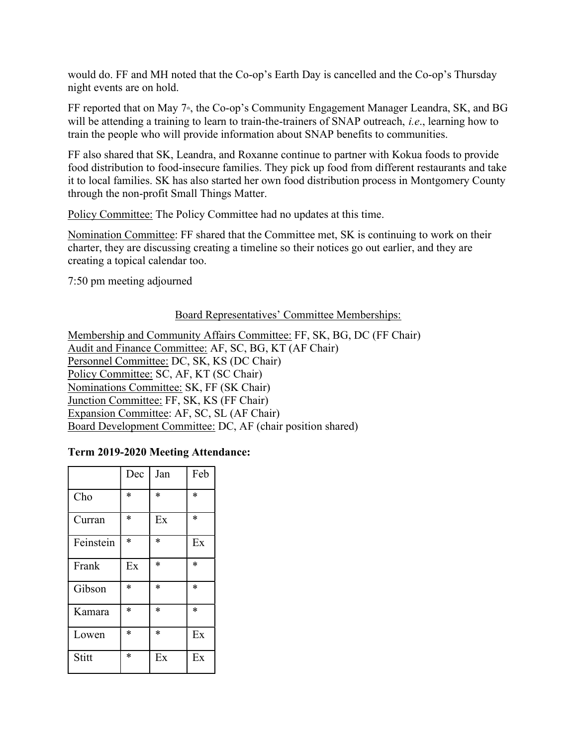would do. FF and MH noted that the Co-op's Earth Day is cancelled and the Co-op's Thursday night events are on hold.

FF reported that on May 7<sup>th</sup>, the Co-op's Community Engagement Manager Leandra, SK, and BG will be attending a training to learn to train-the-trainers of SNAP outreach, *i.e.*, learning how to train the people who will provide information about SNAP benefits to communities.

FF also shared that SK, Leandra, and Roxanne continue to partner with Kokua foods to provide food distribution to food-insecure families. They pick up food from different restaurants and take it to local families. SK has also started her own food distribution process in Montgomery County through the non-profit Small Things Matter.

Policy Committee: The Policy Committee had no updates at this time.

Nomination Committee: FF shared that the Committee met, SK is continuing to work on their charter, they are discussing creating a timeline so their notices go out earlier, and they are creating a topical calendar too.

7:50 pm meeting adjourned

#### Board Representatives' Committee Memberships:

Membership and Community Affairs Committee: FF, SK, BG, DC (FF Chair) Audit and Finance Committee: AF, SC, BG, KT (AF Chair) Personnel Committee: DC, SK, KS (DC Chair) Policy Committee: SC, AF, KT (SC Chair) Nominations Committee: SK, FF (SK Chair) Junction Committee: FF, SK, KS (FF Chair) Expansion Committee: AF, SC, SL (AF Chair) Board Development Committee: DC, AF (chair position shared)

#### Term 2019-2020 Meeting Attendance:

|           | Dec    | Jan    | Feb    |
|-----------|--------|--------|--------|
| Cho       | $\ast$ | *      | $\ast$ |
| Curran    | *      | Ex     | $\ast$ |
| Feinstein | $\ast$ | $\ast$ | Ex     |
| Frank     | Ex     | $\ast$ | $\ast$ |
| Gibson    | $\ast$ | $\ast$ | $\ast$ |
| Kamara    | $\ast$ | $\ast$ | $\ast$ |
| Lowen     | *      | $\ast$ | Ex     |
| Stitt     | *      | Ex     | Ex     |